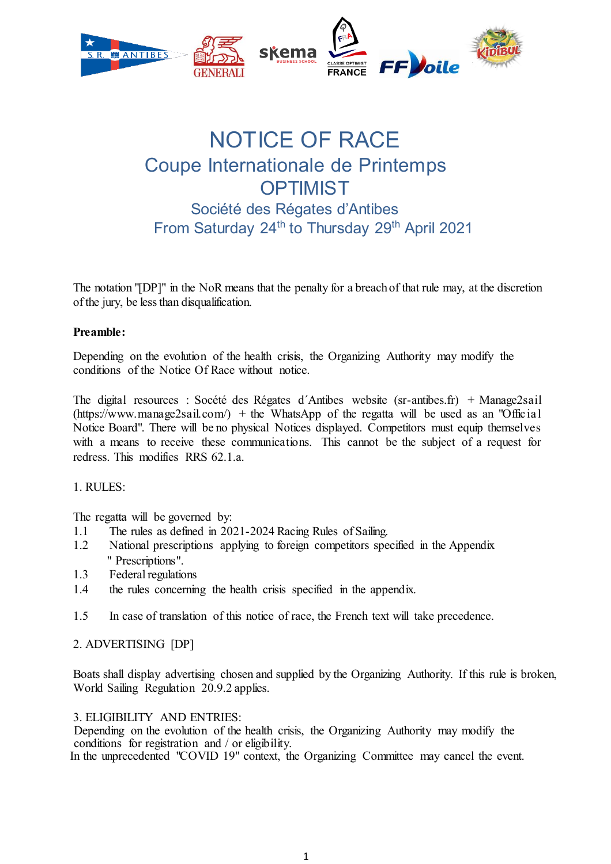

# NOTICE OF RACE Coupe Internationale de Printemps **OPTIMIST** Société des Régates d'Antibes From Saturday 24<sup>th</sup> to Thursday 29<sup>th</sup> April 2021

The notation "[DP]" in the NoR means that the penalty for a breach of that rule may, at the discretion of the jury, be less than disqualification.

#### **Preamble:**

Depending on the evolution of the health crisis, the Organizing Authority may modify the conditions of the Notice Of Race without notice.

The digital resources : Socété des Régates d´Antibes website (sr-antibes.fr) + Manage2sail  $(\text{https://www.manage2sail.com/}) + \text{the WhatsApp of the regatta will be used as an "Official"$ Notice Board". There will be no physical Notices displayed. Competitors must equip themselves with a means to receive these communications. This cannot be the subject of a request for redress. This modifies RRS 62.1 a.

#### 1. RULES:

The regatta will be governed by:

- 1.1 The rules as defined in 2021-2024 Racing Rules of Sailing.
- 1.2 National prescriptions applying to foreign competitors specified in the Appendix " Prescriptions".
- 1.3 Federal regulations
- 1.4 the rules concerning the health crisis specified in the appendix.
- 1.5 In case of translation of this notice of race, the French text will take precedence.

#### 2. ADVERTISING [DP]

Boats shall display advertising chosen and supplied by the Organizing Authority. If this rule is broken, World Sailing Regulation 20.9.2 applies.

3. ELIGIBILITY AND ENTRIES:

Depending on the evolution of the health crisis, the Organizing Authority may modify the conditions for registration and / or eligibility. In the unprecedented "COVID 19" context, the Organizing Committee may cancel the event.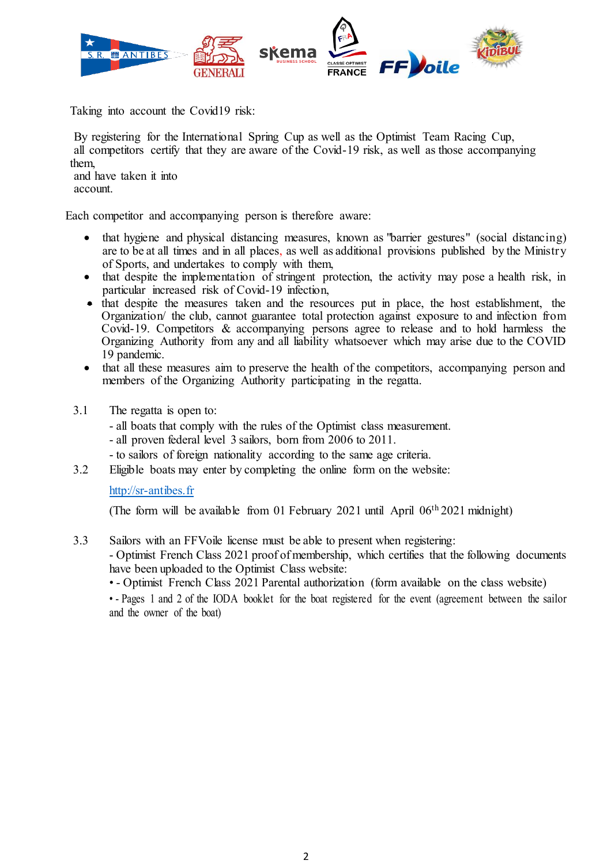

Taking into account the Covid19 risk:

By registering for the International Spring Cup as well as the Optimist Team Racing Cup, all competitors certify that they are aware of the Covid-19 risk, as well as those accompanying them,

and have taken it into account.

Each competitor and accompanying person is therefore aware:

- that hygiene and physical distancing measures, known as "barrier gestures" (social distancing) are to be at all times and in all places, as well as additional provisions published by the Ministry of Sports, and undertakes to comply with them,
- x that despite the implementation of stringent protection, the activity may pose a health risk, in particular increased risk of Covid-19 infection,
- that despite the measures taken and the resources put in place, the host establishment, the Organization/ the club, cannot guarantee total protection against exposure to and infection from Covid-19. Competitors & accompanying persons agree to release and to hold harmless the Organizing Authority from any and all liability whatsoever which may arise due to the COVID 19 pandemic.
- that all these measures aim to preserve the health of the competitors, accompanying person and members of the Organizing Authority participating in the regatta.
- 3.1 The regatta is open to:
	- all boats that comply with the rules of the Optimist class measurement.
	- all proven federal level 3 sailors, born from 2006 to 2011.
	- to sailors of foreign nationality according to the same age criteria.
- 3.2 Eligible boats may enter by completing the online form on the website:

#### http://sr-antibes.fr

(The form will be available from 01 February 2021 until April 06th 2021 midnight)

3.3 Sailors with an FFVoile license must be able to present when registering:

- Optimist French Class 2021 proof of membership, which certifies that the following documents have been uploaded to the Optimist Class website:

• - Optimist French Class 2021 Parental authorization (form available on the class website)

• - Pages 1 and 2 of the IODA booklet for the boat registered for the event (agreement between the sailor and the owner of the boat)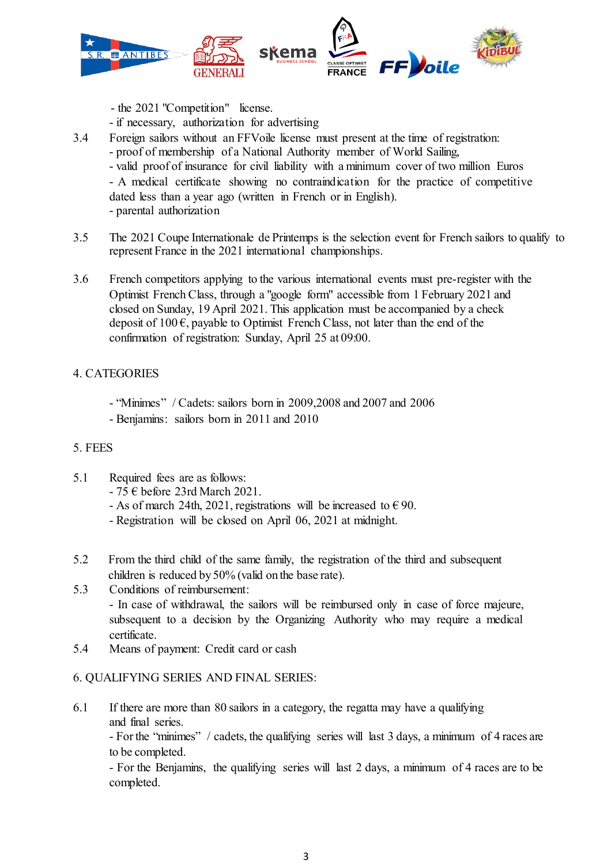

- the 2021 "Competition" license.
- if necessary, authorization for advertising
- 3.4 Foreign sailors without an FFVoile license must present at the time of registration: - proof of membership of a National Authority member of World Sailing, - valid proof of insurance for civil liability with a minimum cover of two million Euros - A medical certificate showing no contraindication for the practice of competitive dated less than a year ago (written in French or in English). - parental authorization
- 3.5 The 2021 Coupe Internationale de Printemps is the selection event for French sailors to qualify to represent France in the 2021 international championships.
- 3.6 French competitors applying to the various international events must pre-register with the Optimist French Class, through a "google form" accessible from 1 February 2021 and closed on Sunday, 19 April 2021. This application must be accompanied by a check deposit of 100  $\epsilon$ , payable to Optimist French Class, not later than the end of the confirmation of registration: Sunday, April 25 at 09:00.

# 4. CATEGORIES

- "Minimes" / Cadets: sailors born in 2009,2008 and 2007 and 2006
- Benjamins: sailors born in 2011 and 2010

# 5. FEES

- 5.1 Required fees are as follows:
	- 75 € before 23rd March 2021.
	- As of march 24th, 2021, registrations will be increased to  $\epsilon$  90.
	- Registration will be closed on April 06, 2021 at midnight.
- 5.2 From the third child of the same family, the registration of the third and subsequent children is reduced by 50% (valid on the base rate).
- 5.3 Conditions of reimbursement: - In case of withdrawal, the sailors will be reimbursed only in case of force majeure, subsequent to a decision by the Organizing Authority who may require a medical certificate.
- 5.4 Means of payment: Credit card or cash

# 6. QUALIFYING SERIES AND FINAL SERIES:

6.1 If there are more than 80 sailors in a category, the regatta may have a qualifying and final series.

- For the "minimes" / cadets, the qualifying series will last 3 days, a minimum of 4 races are to be completed.

- For the Benjamins, the qualifying series will last 2 days, a minimum of 4 races are to be completed.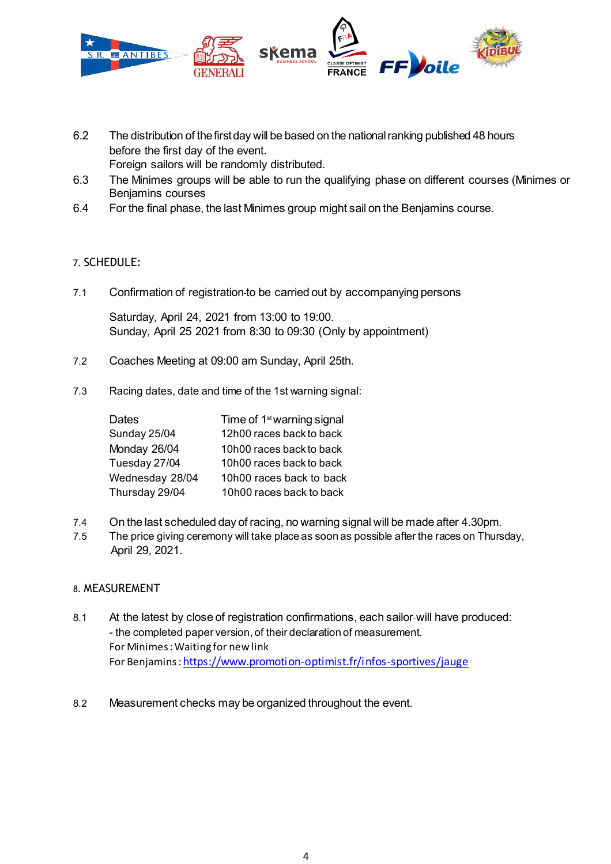

- 6.2 The distribution of the first day will be based on the national ranking published 48 hours before the first day of the event. Foreign sailors will be randomly distributed.
- 6.3 The Minimes groups will be able to run the qualifying phase on different courses (Minimes or Benjamins courses
- 6.4 For the final phase, the last Minimes group might sail on the Benjamins course.

# 7. SCHEDULE:

7.1 Confirmation of registration to be carried out by accompanying persons

Saturday, April 24, 2021 from 13:00 to 19:00. Sunday, April 25 2021 from 8:30 to 09:30 (Only by appointment)

- 7.2 Coaches Meeting at 09:00 am Sunday, April 25th.
- 7.3 Racing dates, date and time of the 1st warning signal:

| <b>Dates</b>    | Time of 1 <sup>st</sup> warning signal |
|-----------------|----------------------------------------|
| Sunday 25/04    | 12h00 races back to back               |
| Monday 26/04    | 10h00 races back to back               |
| Tuesday 27/04   | 10h00 races back to back               |
| Wednesday 28/04 | 10h00 races back to back               |
| Thursday 29/04  | 10h00 races back to back               |

- 7.4 On the last scheduled day of racing, no warning signal will be made after 4.30pm.
- 7.5 The price giving ceremony will take place as soon as possible after the races on Thursday, April 29, 2021.

# 8. MEASUREMENT

- 8.1 At the latest by close of registration confirmations, each sailor-will have produced: - the completed paper version, of their declaration of measurement. For Minimes : Waiting for new link For Benjamins : https://www.promotion-optimist.fr/infos-sportives/jauge
- 8.2 Measurement checks may be organized throughout the event.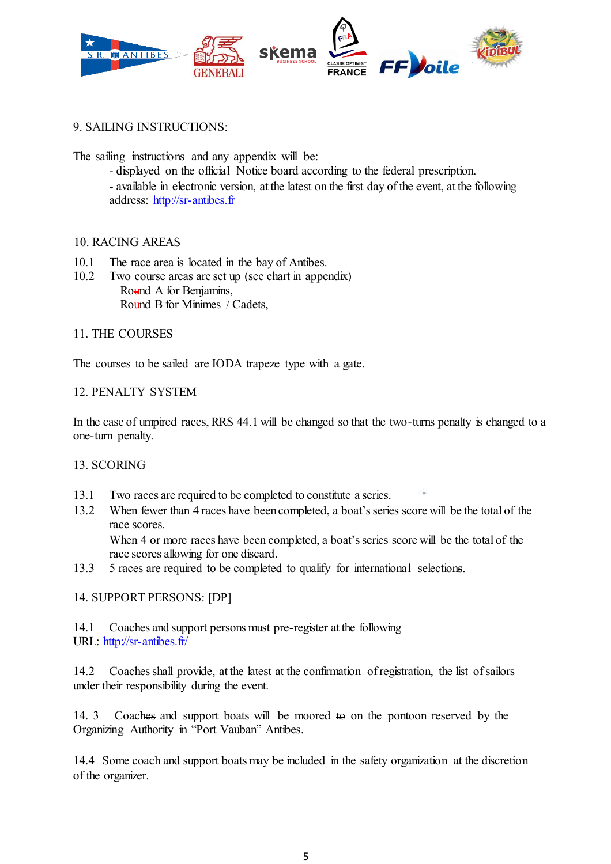

9. SAILING INSTRUCTIONS:

The sailing instructions and any appendix will be:

- displayed on the official Notice board according to the federal prescription. - available in electronic version, at the latest on the first day of the event, at the following address: http://sr-antibes.fr

#### 10. RACING AREAS

- 10.1 The race area is located in the bay of Antibes.
- 10.2 Two course areas are set up (see chart in appendix) Round A for Benjamins, Round B for Minimes / Cadets,

#### 11. THE COURSES

The courses to be sailed are IODA trapeze type with a gate.

#### 12. PENALTY SYSTEM

In the case of umpired races, RRS 44.1 will be changed so that the two-turns penalty is changed to a one-turn penalty.

#### 13. SCORING

- 13.1 Two races are required to be completed to constitute a series.
- 13.2 When fewer than 4 races have been completed, a boat's series score will be the total of the race scores. When 4 or more races have been completed, a boat's series score will be the total of the

race scores allowing for one discard.

13.3 5 races are required to be completed to qualify for international selections.

# 14. SUPPORT PERSONS: [DP]

14.1 Coaches and support persons must pre-register at the following URL: http://sr-antibes.fr/

14.2 Coaches shall provide, at the latest at the confirmation of registration, the list of sailors under their responsibility during the event.

14. 3 Coaches and support boats will be moored to on the pontoon reserved by the Organizing Authority in "Port Vauban" Antibes.

14.4 Some coach and support boats may be included in the safety organization at the discretion of the organizer.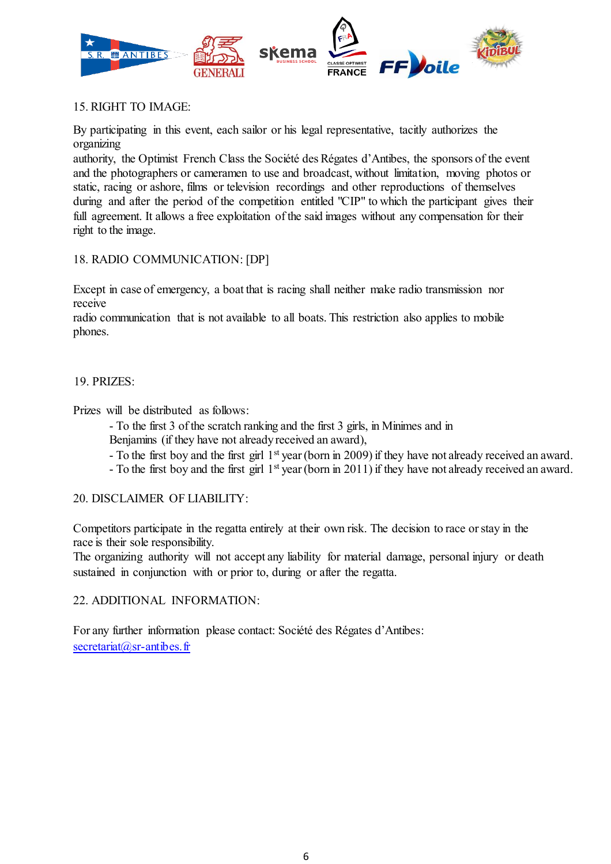

# 15. RIGHT TO IMAGE:

By participating in this event, each sailor or his legal representative, tacitly authorizes the organizing

authority, the Optimist French Class the Société des Régates d'Antibes, the sponsors of the event and the photographers or cameramen to use and broadcast, without limitation, moving photos or static, racing or ashore, films or television recordings and other reproductions of themselves during and after the period of the competition entitled "CIP" to which the participant gives their full agreement. It allows a free exploitation of the said images without any compensation for their right to the image.

# 18. RADIO COMMUNICATION: [DP]

Except in case of emergency, a boat that is racing shall neither make radio transmission nor receive

radio communication that is not available to all boats. This restriction also applies to mobile phones.

# 19. PRIZES:

Prizes will be distributed as follows:

- To the first 3 of the scratch ranking and the first 3 girls, in Minimes and in Benjamins (if they have not already received an award),
- To the first boy and the first girl 1st year (born in 2009) if they have not already received an award.
- To the first boy and the first girl 1st year (born in 2011) if they have not already received an award.

# 20. DISCLAIMER OF LIABILITY:

Competitors participate in the regatta entirely at their own risk. The decision to race or stay in the race is their sole responsibility.

The organizing authority will not accept any liability for material damage, personal injury or death sustained in conjunction with or prior to, during or after the regatta.

# 22. ADDITIONAL INFORMATION:

For any further information please contact: Société des Régates d'Antibes: secretariat@sr-antibes.fr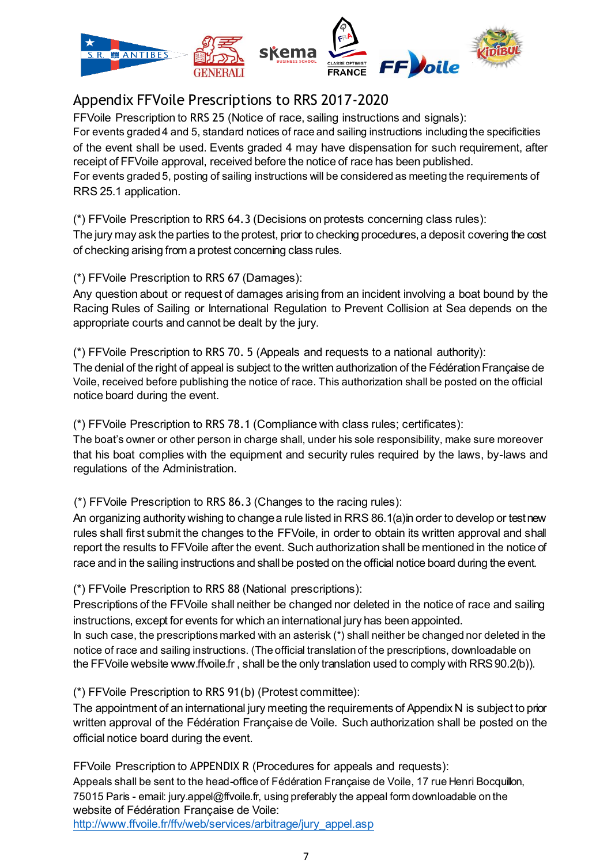

# Appendix FFVoile Prescriptions to RRS 2017-2020

FFVoile Prescription to RRS 25 (Notice of race, sailing instructions and signals): For events graded 4 and 5, standard notices of race and sailing instructions including the specificities of the event shall be used. Events graded 4 may have dispensation for such requirement, after receipt of FFVoile approval, received before the notice of race has been published. For events graded 5, posting of sailing instructions will be considered as meeting the requirements of RRS 25.1 application.

(\*) FFVoile Prescription to RRS 64.3 (Decisions on protests concerning class rules): The jury may ask the parties to the protest, prior to checking procedures, a deposit covering the cost of checking arising from a protest concerning class rules.

(\*) FFVoile Prescription to RRS 67 (Damages):

Any question about or request of damages arising from an incident involving a boat bound by the Racing Rules of Sailing or International Regulation to Prevent Collision at Sea depends on the appropriate courts and cannot be dealt by the jury.

(\*) FFVoile Prescription to RRS 70. 5 (Appeals and requests to a national authority): The denial of the right of appeal is subject to the written authorization of the Fédération Française de Voile, received before publishing the notice of race. This authorization shall be posted on the official notice board during the event.

(\*) FFVoile Prescription to RRS 78.1 (Compliance with class rules; certificates):

The boat's owner or other person in charge shall, under his sole responsibility, make sure moreover that his boat complies with the equipment and security rules required by the laws, by-laws and regulations of the Administration.

(\*) FFVoile Prescription to RRS 86.3 (Changes to the racing rules):

An organizing authority wishing to change a rule listed in RRS 86.1(a)in order to develop or test new rules shall first submit the changes to the FFVoile, in order to obtain its written approval and shall report the results to FFVoile after the event. Such authorization shall be mentioned in the notice of race and in the sailing instructions and shall be posted on the official notice board during the event.

(\*) FFVoile Prescription to RRS 88 (National prescriptions):

Prescriptions of the FFVoile shall neither be changed nor deleted in the notice of race and sailing instructions, except for events for which an international jury has been appointed.

In such case, the prescriptions marked with an asterisk (\*) shall neither be changed nor deleted in the notice of race and sailing instructions. (The official translation of the prescriptions, downloadable on the FFVoile website www.ffvoile.fr , shall be the only translation used to comply with RRS 90.2(b)).

(\*) FFVoile Prescription to RRS 91(b) (Protest committee):

The appointment of an international jury meeting the requirements of Appendix N is subject to prior written approval of the Fédération Française de Voile. Such authorization shall be posted on the official notice board during the event.

FFVoile Prescription to APPENDIX R (Procedures for appeals and requests):

Appeals shall be sent to the head-office of Fédération Française de Voile, 17 rue Henri Bocquillon, 75015 Paris - email: jury.appel@ffvoile.fr, using preferably the appeal form downloadable on the website of Fédération Française de Voile:

http://www.ffvoile.fr/ffv/web/services/arbitrage/jury\_appel.asp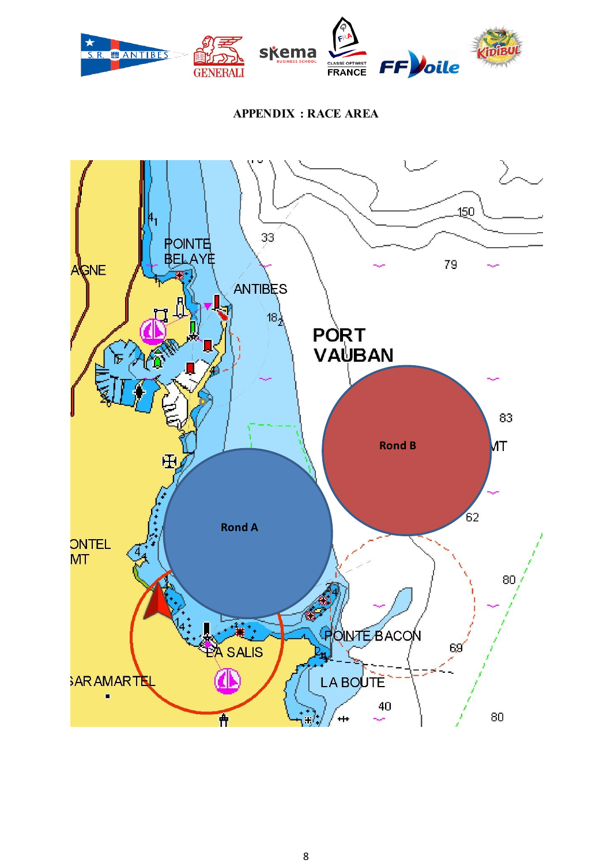

# **APPENDIX : RACE AREA**